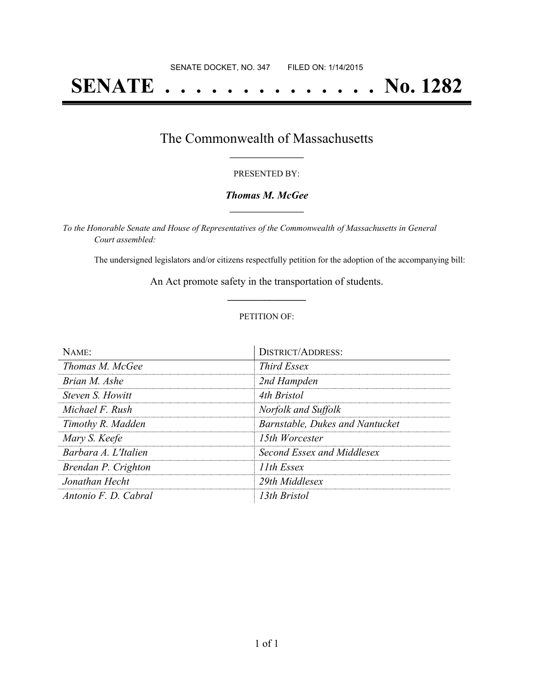# **SENATE . . . . . . . . . . . . . . No. 1282**

### The Commonwealth of Massachusetts **\_\_\_\_\_\_\_\_\_\_\_\_\_\_\_\_\_**

#### PRESENTED BY:

#### *Thomas M. McGee* **\_\_\_\_\_\_\_\_\_\_\_\_\_\_\_\_\_**

*To the Honorable Senate and House of Representatives of the Commonwealth of Massachusetts in General Court assembled:*

The undersigned legislators and/or citizens respectfully petition for the adoption of the accompanying bill:

An Act promote safety in the transportation of students. **\_\_\_\_\_\_\_\_\_\_\_\_\_\_\_**

#### PETITION OF:

| NAME:                   | <b>DISTRICT/ADDRESS:</b>        |
|-------------------------|---------------------------------|
| Thomas M. McGee         | <i>Third Essex</i>              |
| Brian M. Ashe           | 2nd Hampden                     |
| <i>Steven S. Howitt</i> | 4th Bristol                     |
| Michael F. Rush         | Norfolk and Suffolk             |
| Timothy R. Madden       | Barnstable, Dukes and Nantucket |
| Mary S. Keefe           | 15th Worcester                  |
| Barbara A. L'Italien    | Second Essex and Middlesex      |
| Brendan P. Crighton     | 11th Essex                      |
| Jonathan Hecht          | 29th Middlesex                  |
| Antonio F. D. Cabral    | 13th Bristol                    |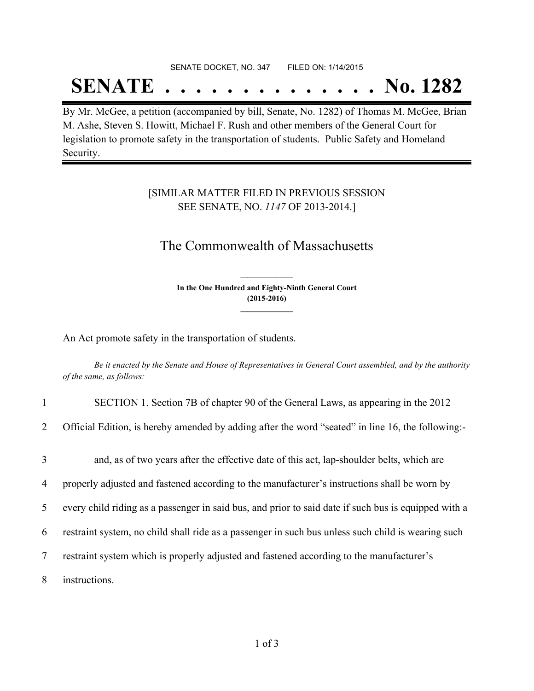# SENATE DOCKET, NO. 347 FILED ON: 1/14/2015

# **SENATE . . . . . . . . . . . . . . No. 1282**

By Mr. McGee, a petition (accompanied by bill, Senate, No. 1282) of Thomas M. McGee, Brian M. Ashe, Steven S. Howitt, Michael F. Rush and other members of the General Court for legislation to promote safety in the transportation of students. Public Safety and Homeland Security.

### [SIMILAR MATTER FILED IN PREVIOUS SESSION SEE SENATE, NO. *1147* OF 2013-2014.]

## The Commonwealth of Massachusetts

**In the One Hundred and Eighty-Ninth General Court (2015-2016) \_\_\_\_\_\_\_\_\_\_\_\_\_\_\_**

**\_\_\_\_\_\_\_\_\_\_\_\_\_\_\_**

An Act promote safety in the transportation of students.

Be it enacted by the Senate and House of Representatives in General Court assembled, and by the authority *of the same, as follows:*

| $\mathbf{1}$   | SECTION 1. Section 7B of chapter 90 of the General Laws, as appearing in the 2012                    |
|----------------|------------------------------------------------------------------------------------------------------|
| $\overline{2}$ | Official Edition, is hereby amended by adding after the word "seated" in line 16, the following:-    |
| 3              | and, as of two years after the effective date of this act, lap-shoulder belts, which are             |
| 4              | properly adjusted and fastened according to the manufacturer's instructions shall be worn by         |
| 5              | every child riding as a passenger in said bus, and prior to said date if such bus is equipped with a |
| 6              | restraint system, no child shall ride as a passenger in such bus unless such child is wearing such   |
| 7              | restraint system which is properly adjusted and fastened according to the manufacturer's             |
| 8              | instructions.                                                                                        |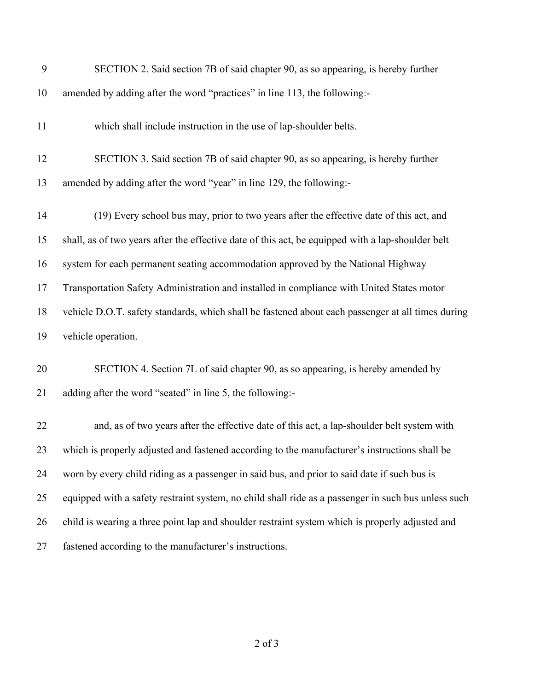| 9  | SECTION 2. Said section 7B of said chapter 90, as so appearing, is hereby further                   |
|----|-----------------------------------------------------------------------------------------------------|
| 10 | amended by adding after the word "practices" in line 113, the following:-                           |
| 11 | which shall include instruction in the use of lap-shoulder belts.                                   |
| 12 | SECTION 3. Said section 7B of said chapter 90, as so appearing, is hereby further                   |
| 13 | amended by adding after the word "year" in line 129, the following:-                                |
| 14 | (19) Every school bus may, prior to two years after the effective date of this act, and             |
| 15 | shall, as of two years after the effective date of this act, be equipped with a lap-shoulder belt   |
| 16 | system for each permanent seating accommodation approved by the National Highway                    |
| 17 | Transportation Safety Administration and installed in compliance with United States motor           |
| 18 | vehicle D.O.T. safety standards, which shall be fastened about each passenger at all times during   |
| 19 | vehicle operation.                                                                                  |
| 20 | SECTION 4. Section 7L of said chapter 90, as so appearing, is hereby amended by                     |
| 21 | adding after the word "seated" in line 5, the following:-                                           |
| 22 | and, as of two years after the effective date of this act, a lap-shoulder belt system with          |
| 23 | which is properly adjusted and fastened according to the manufacturer's instructions shall be       |
| 24 | worn by every child riding as a passenger in said bus, and prior to said date if such bus is        |
| 25 | equipped with a safety restraint system, no child shall ride as a passenger in such bus unless such |
| 26 | child is wearing a three point lap and shoulder restraint system which is properly adjusted and     |
| 27 | fastened according to the manufacturer's instructions.                                              |

of 3